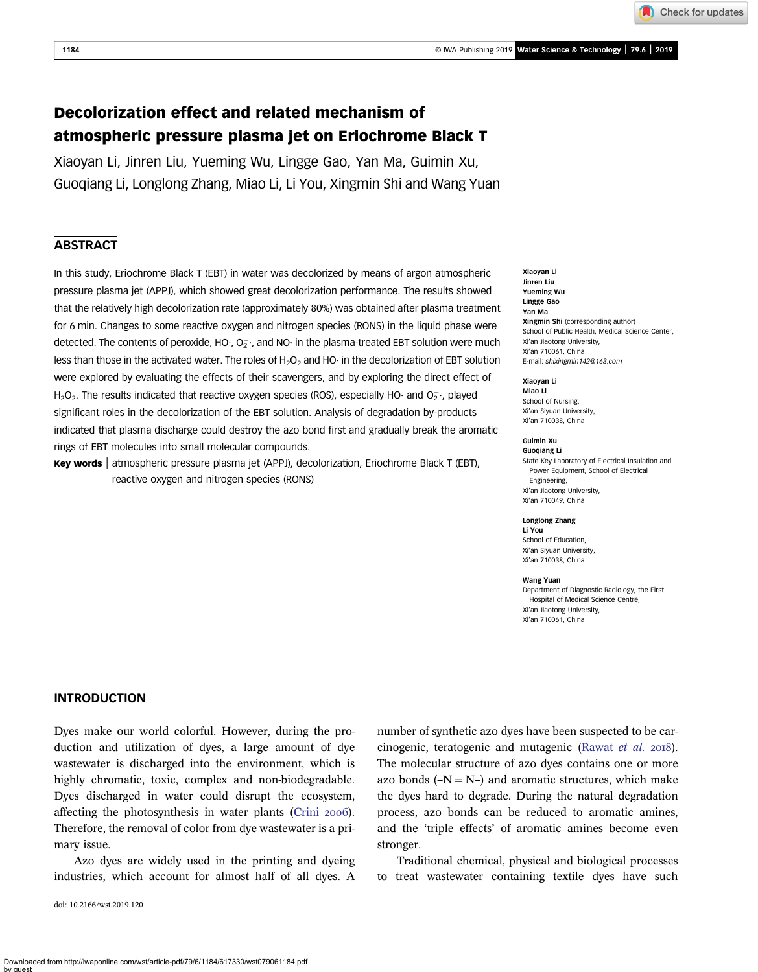Check for updates

# Decolorization effect and related mechanism of atmospheric pressure plasma jet on Eriochrome Black T

Xiaoyan Li, Jinren Liu, Yueming Wu, Lingge Gao, Yan Ma, Guimin Xu, Guoqiang Li, Longlong Zhang, Miao Li, Li You, Xingmin Shi and Wang Yuan

## ABSTRACT

In this study, Eriochrome Black T (EBT) in water was decolorized by means of argon atmospheric pressure plasma jet (APPJ), which showed great decolorization performance. The results showed that the relatively high decolorization rate (approximately 80%) was obtained after plasma treatment for 6 min. Changes to some reactive oxygen and nitrogen species (RONS) in the liquid phase were detected. The contents of peroxide, HO $\cdot$ , O $_{2}^{\circ}$  , and NO $\cdot$  in the plasma-treated EBT solution were much less than those in the activated water. The roles of  $H_2O_2$  and HO· in the decolorization of EBT solution were explored by evaluating the effects of their scavengers, and by exploring the direct effect of  $H_2O_2$ . The results indicated that reactive oxygen species (ROS), especially HO· and O<sub>2</sub>·, played significant roles in the decolorization of the EBT solution. Analysis of degradation by-products indicated that plasma discharge could destroy the azo bond first and gradually break the aromatic rings of EBT molecules into small molecular compounds.

Key words | atmospheric pressure plasma jet (APPJ), decolorization, Eriochrome Black T (EBT), reactive oxygen and nitrogen species (RONS)

Xiaoyan Li Jinren Liu Yueming Wu Lingge Gao Yan Ma Xingmin Shi (corresponding author) School of Public Health, Medical Science Center, Xi'an Jiaotong University, Xi'an 710061, China E-mail: [shixingmin142@163.com](mailto:shixingmin142@163.com)

#### Xiaoyan Li

Miao Li School of Nursing, Xi'an Siyuan University, Xi'an 710038, China

#### Guimin Xu

Guoqiang Li State Key Laboratory of Electrical Insulation and Power Equipment, School of Electrical Engineering, Xi'an Jiaotong University, Xi'an 710049, China

#### Longlong Zhang

Li You School of Education, Xi'an Siyuan University, Xi'an 710038, China

#### Wang Yuan

Department of Diagnostic Radiology, the First Hospital of Medical Science Centre, Xi'an Jiaotong University, Xi'an 710061, China

## **INTRODUCTION**

Dyes make our world colorful. However, during the production and utilization of dyes, a large amount of dye wastewater is discharged into the environment, which is highly chromatic, toxic, complex and non-biodegradable. Dyes discharged in water could disrupt the ecosystem, affecting the photosynthesis in water plants [\(Crini](#page-9-0) 2006). Therefore, the removal of color from dye wastewater is a primary issue.

Azo dyes are widely used in the printing and dyeing industries, which account for almost half of all dyes. A

doi: 10.2166/wst.2019.120

number of synthetic azo dyes have been suspected to be car-cinogenic, teratogenic and mutagenic ([Rawat](#page-10-0) et al. 2018). The molecular structure of azo dyes contains one or more azo bonds  $(-N = N-)$  and aromatic structures, which make the dyes hard to degrade. During the natural degradation process, azo bonds can be reduced to aromatic amines, and the 'triple effects' of aromatic amines become even stronger.

Traditional chemical, physical and biological processes to treat wastewater containing textile dyes have such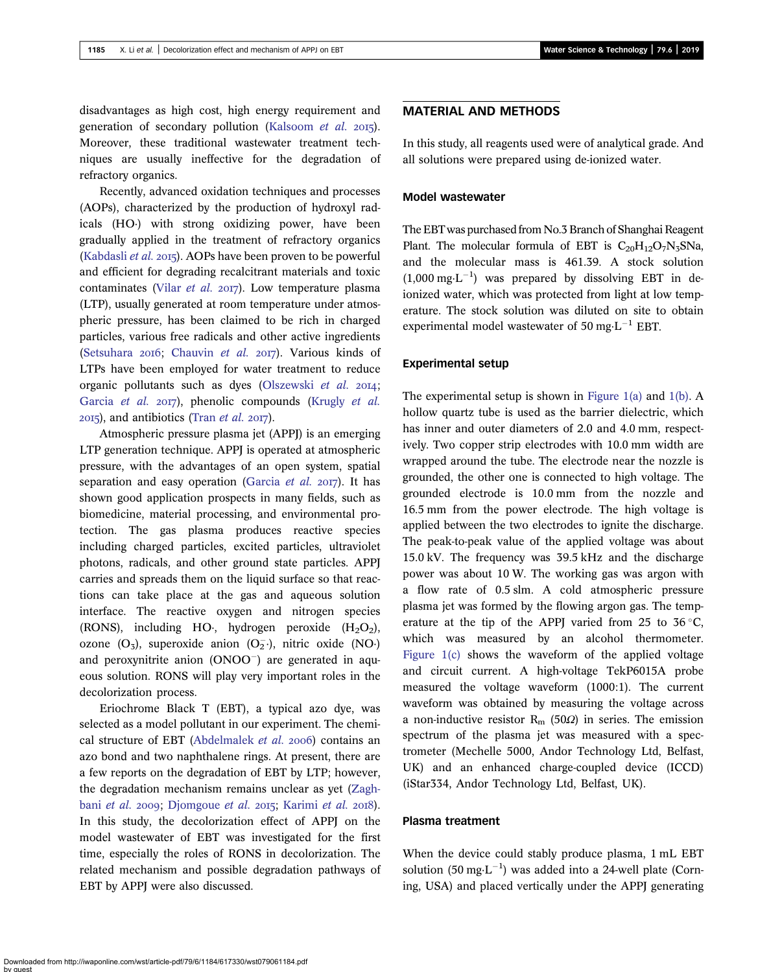disadvantages as high cost, high energy requirement and generation of secondary pollution [\(Kalsoom](#page-9-0) et al.  $2015$ ). Moreover, these traditional wastewater treatment techniques are usually ineffective for the degradation of refractory organics.

Recently, advanced oxidation techniques and processes (AOPs), characterized by the production of hydroxyl radicals (HO·) with strong oxidizing power, have been gradually applied in the treatment of refractory organics [\(Kabdasli](#page-9-0) et al.  $2015$ ). AOPs have been proven to be powerful and efficient for degrading recalcitrant materials and toxic contaminates (Vilar [et al.](#page-10-0)  $2017$ ). Low temperature plasma (LTP), usually generated at room temperature under atmospheric pressure, has been claimed to be rich in charged particles, various free radicals and other active ingredients [\(Setsuhara](#page-10-0) 2016; [Chauvin](#page-9-0) et al. 2017). Various kinds of LTPs have been employed for water treatment to reduce organic pollutants such as dyes ([Olszewski](#page-9-0) et al. 2014; [Garcia](#page-9-0) et al. 2017), phenolic compounds [\(Krugly](#page-9-0) et al.  $2015$ ), and antibiotics (Tran *[et al.](#page-10-0)*  $2017$ ).

Atmospheric pressure plasma jet (APPJ) is an emerging LTP generation technique. APPJ is operated at atmospheric pressure, with the advantages of an open system, spatial separation and easy operation ([Garcia](#page-9-0) *et al.* 2017). It has shown good application prospects in many fields, such as biomedicine, material processing, and environmental protection. The gas plasma produces reactive species including charged particles, excited particles, ultraviolet photons, radicals, and other ground state particles. APPJ carries and spreads them on the liquid surface so that reactions can take place at the gas and aqueous solution interface. The reactive oxygen and nitrogen species (RONS), including HO·, hydrogen peroxide  $(H_2O_2)$ , ozone  $(O_3)$ , superoxide anion  $(O_2^-)$ , nitric oxide  $(NO)$ and peroxynitrite anion  $(ONOO^-)$  are generated in aqueous solution. RONS will play very important roles in the decolorization process.

Eriochrome Black T (EBT), a typical azo dye, was selected as a model pollutant in our experiment. The chemi-cal structure of EBT ([Abdelmalek](#page-9-0) et al. 2006) contains an azo bond and two naphthalene rings. At present, there are a few reports on the degradation of EBT by LTP; however, the degradation mechanism remains unclear as yet ([Zagh](#page-10-0)bani [et al.](#page-10-0) 2009; [Djomgoue](#page-9-0) et al. 2015; [Karimi](#page-9-0) et al. 2018). In this study, the decolorization effect of APPJ on the model wastewater of EBT was investigated for the first time, especially the roles of RONS in decolorization. The related mechanism and possible degradation pathways of EBT by APPJ were also discussed.

## MATERIAL AND METHODS

In this study, all reagents used were of analytical grade. And all solutions were prepared using de-ionized water.

#### Model wastewater

The EBT was purchased from No.3 Branch of Shanghai Reagent Plant. The molecular formula of EBT is  $C_{20}H_{12}O_7N_3S$ Na, and the molecular mass is 461.39. A stock solution  $(1,000 \text{ mg} \cdot \text{L}^{-1})$  was prepared by dissolving EBT in deionized water, which was protected from light at low temperature. The stock solution was diluted on site to obtain experimental model wastewater of 50 mg $\text{L}^{-1}$  EBT.

### Experimental setup

The experimental setup is shown in Figure  $1(a)$  and  $1(b)$ . A hollow quartz tube is used as the barrier dielectric, which has inner and outer diameters of 2.0 and 4.0 mm, respectively. Two copper strip electrodes with 10.0 mm width are wrapped around the tube. The electrode near the nozzle is grounded, the other one is connected to high voltage. The grounded electrode is 10.0 mm from the nozzle and 16.5 mm from the power electrode. The high voltage is applied between the two electrodes to ignite the discharge. The peak-to-peak value of the applied voltage was about 15.0 kV. The frequency was 39.5 kHz and the discharge power was about 10 W. The working gas was argon with a flow rate of 0.5 slm. A cold atmospheric pressure plasma jet was formed by the flowing argon gas. The temperature at the tip of the APPJ varied from 25 to 36  $\degree$ C, which was measured by an alcohol thermometer. [Figure 1\(c\)](#page-2-0) shows the waveform of the applied voltage and circuit current. A high-voltage TekP6015A probe measured the voltage waveform (1000:1). The current waveform was obtained by measuring the voltage across a non-inductive resistor  $R_m$  (50 $\Omega$ ) in series. The emission spectrum of the plasma jet was measured with a spectrometer (Mechelle 5000, Andor Technology Ltd, Belfast, UK) and an enhanced charge-coupled device (ICCD) (iStar334, Andor Technology Ltd, Belfast, UK).

#### Plasma treatment

When the device could stably produce plasma, 1 mL EBT solution (50 mg·L<sup>-1</sup>) was added into a 24-well plate (Corning, USA) and placed vertically under the APPJ generating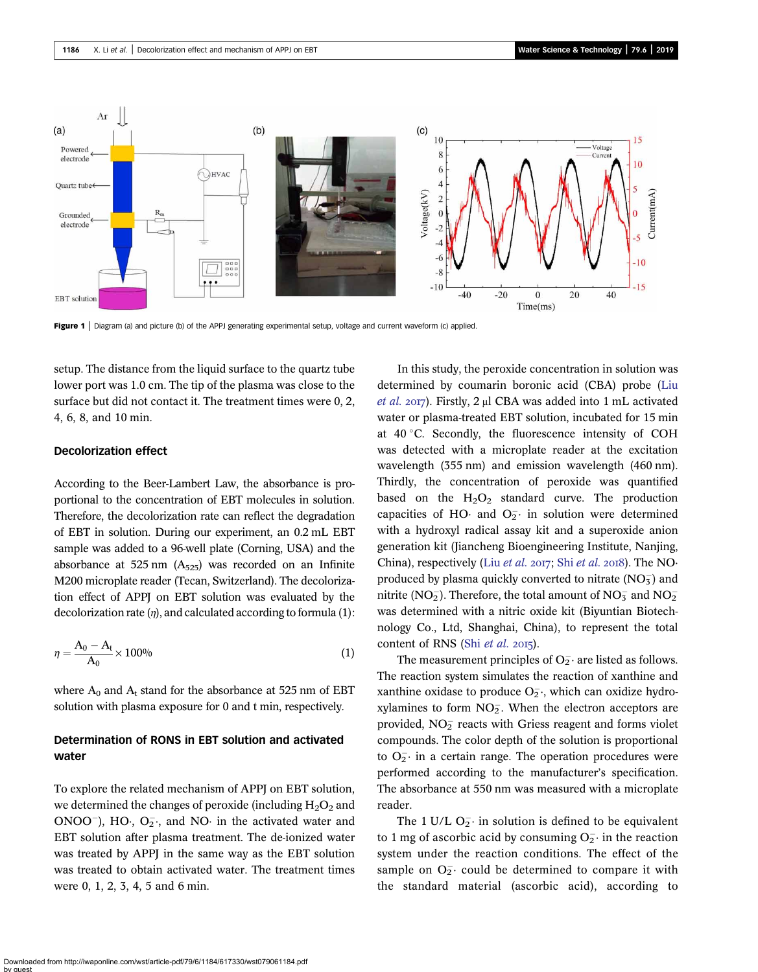<span id="page-2-0"></span>

Figure 1 | Diagram (a) and picture (b) of the APPJ generating experimental setup, voltage and current waveform (c) applied.

setup. The distance from the liquid surface to the quartz tube lower port was 1.0 cm. The tip of the plasma was close to the surface but did not contact it. The treatment times were 0, 2, 4, 6, 8, and 10 min.

#### Decolorization effect

According to the Beer-Lambert Law, the absorbance is proportional to the concentration of EBT molecules in solution. Therefore, the decolorization rate can reflect the degradation of EBT in solution. During our experiment, an 0.2 mL EBT sample was added to a 96-well plate (Corning, USA) and the absorbance at 525 nm  $(A_{525})$  was recorded on an Infinite M200 microplate reader (Tecan, Switzerland). The decolorization effect of APPJ on EBT solution was evaluated by the decolorization rate  $(\eta)$ , and calculated according to formula (1):

$$
\eta = \frac{A_0 - A_t}{A_0} \times 100\%
$$
\n(1)

where  $A_0$  and  $A_t$  stand for the absorbance at 525 nm of EBT solution with plasma exposure for 0 and t min, respectively.

## Determination of RONS in EBT solution and activated water

To explore the related mechanism of APPJ on EBT solution, we determined the changes of peroxide (including  $H_2O_2$  and  $ONOO^{-}$ ), HO $\cdot$ , O<sub>2</sub> $\cdot$ , and NO $\cdot$  in the activated water and EBT solution after plasma treatment. The de-ionized water was treated by APPJ in the same way as the EBT solution was treated to obtain activated water. The treatment times were 0, 1, 2, 3, 4, 5 and 6 min.

In this study, the peroxide concentration in solution was determined by coumarin boronic acid (CBA) probe ([Liu](#page-9-0) [et al.](#page-9-0) 2017). Firstly, 2 μl CBA was added into 1 mL activated water or plasma-treated EBT solution, incubated for 15 min at  $40^{\circ}$ C. Secondly, the fluorescence intensity of COH was detected with a microplate reader at the excitation wavelength (355 nm) and emission wavelength (460 nm). Thirdly, the concentration of peroxide was quantified based on the  $H_2O_2$  standard curve. The production capacities of HO· and  $O_2^-$  in solution were determined with a hydroxyl radical assay kit and a superoxide anion generation kit (Jiancheng Bioengineering Institute, Nanjing, China), respectively (Liu *[et al.](#page-10-0)* 2017; Shi *et al.* 2018). The NOproduced by plasma quickly converted to nitrate  $(NO<sub>3</sub><sup>-</sup>)$  and nitrite ( $NO<sub>2</sub>$ ). Therefore, the total amount of  $NO<sub>3</sub>^-$  and  $NO<sub>2</sub>^$ was determined with a nitric oxide kit (Biyuntian Biotechnology Co., Ltd, Shanghai, China), to represent the total content of RNS (Shi [et al.](#page-10-0)  $2015$ ).

The measurement principles of  $O_2^-$  are listed as follows. The reaction system simulates the reaction of xanthine and xanthine oxidase to produce  $O_2$ , which can oxidize hydroxylamines to form  $NO<sub>2</sub>$ . When the electron acceptors are provided,  $NO<sub>2</sub>$  reacts with Griess reagent and forms violet compounds. The color depth of the solution is proportional to  $O_2^-$  in a certain range. The operation procedures were performed according to the manufacturer's specification. The absorbance at 550 nm was measured with a microplate reader.

The 1 U/L  $O_2^-$  in solution is defined to be equivalent to 1 mg of ascorbic acid by consuming  $O_2^-$  in the reaction system under the reaction conditions. The effect of the sample on  $O_2^-$  could be determined to compare it with the standard material (ascorbic acid), according to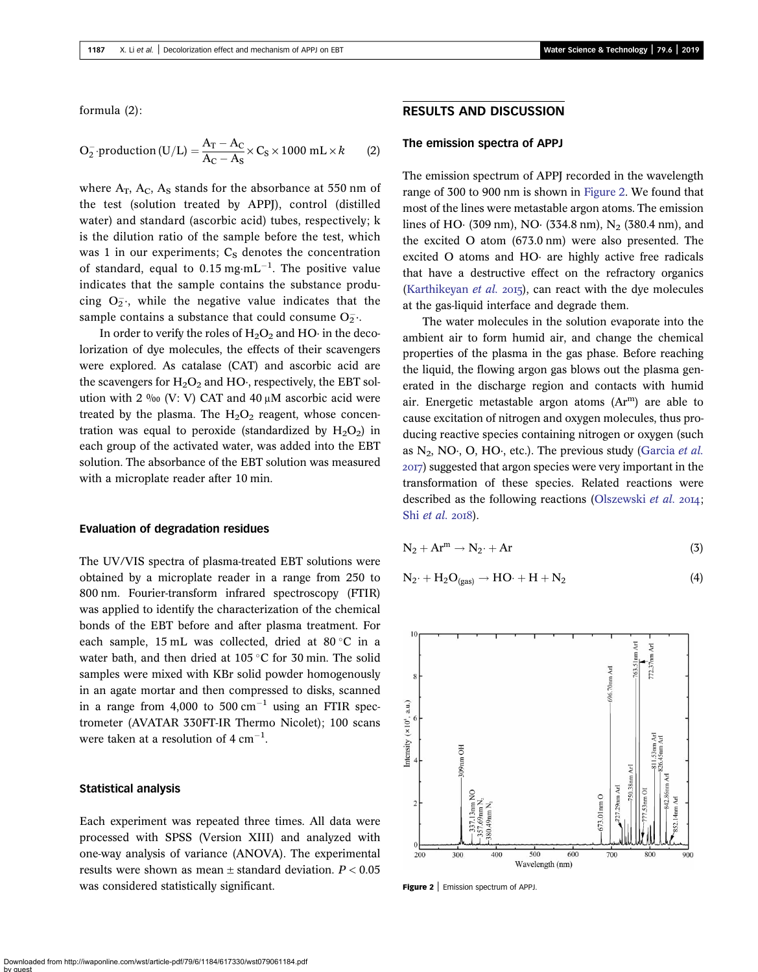formula (2):

$$
O_2^- \text{ production (U/L)} = \frac{A_T - A_C}{A_C - A_S} \times C_S \times 1000 \text{ mL} \times k \tag{2}
$$

where  $A_T$ ,  $A_C$ ,  $A_S$  stands for the absorbance at 550 nm of the test (solution treated by APPJ), control (distilled water) and standard (ascorbic acid) tubes, respectively; k is the dilution ratio of the sample before the test, which was 1 in our experiments;  $C_S$  denotes the concentration of standard, equal to  $0.15$  mg $\cdot$ mL<sup>-1</sup>. The positive value indicates that the sample contains the substance producing  $O_2^-$ , while the negative value indicates that the sample contains a substance that could consume  $O_2^-$ .

In order to verify the roles of  $H_2O_2$  and HO· in the decolorization of dye molecules, the effects of their scavengers were explored. As catalase (CAT) and ascorbic acid are the scavengers for  $H_2O_2$  and HO $\cdot$ , respectively, the EBT solution with 2 ‰ (V: V) CAT and 40  $\mu$ M ascorbic acid were treated by the plasma. The  $H_2O_2$  reagent, whose concentration was equal to peroxide (standardized by  $H_2O_2$ ) in each group of the activated water, was added into the EBT solution. The absorbance of the EBT solution was measured with a microplate reader after 10 min.

#### Evaluation of degradation residues

The UV/VIS spectra of plasma-treated EBT solutions were obtained by a microplate reader in a range from 250 to 800 nm. Fourier-transform infrared spectroscopy (FTIR) was applied to identify the characterization of the chemical bonds of the EBT before and after plasma treatment. For each sample, 15 mL was collected, dried at 80 $\degree$ C in a water bath, and then dried at  $105^{\circ}$ C for 30 min. The solid samples were mixed with KBr solid powder homogenously in an agate mortar and then compressed to disks, scanned in a range from 4,000 to 500  $cm^{-1}$  using an FTIR spectrometer (AVATAR 330FT-IR Thermo Nicolet); 100 scans were taken at a resolution of  $4 \text{ cm}^{-1}$ .

#### Statistical analysis

Each experiment was repeated three times. All data were processed with SPSS (Version XIII) and analyzed with one-way analysis of variance (ANOVA). The experimental results were shown as mean  $\pm$  standard deviation.  $P < 0.05$ was considered statistically significant.

## RESULTS AND DISCUSSION

#### The emission spectra of APPJ

The emission spectrum of APPJ recorded in the wavelength range of 300 to 900 nm is shown in Figure 2. We found that most of the lines were metastable argon atoms. The emission lines of HO· (309 nm), NO· (334.8 nm), N<sub>2</sub> (380.4 nm), and the excited O atom (673.0 nm) were also presented. The excited O atoms and HO· are highly active free radicals that have a destructive effect on the refractory organics [\(Karthikeyan](#page-9-0) et al. 2015), can react with the dye molecules at the gas-liquid interface and degrade them.

The water molecules in the solution evaporate into the ambient air to form humid air, and change the chemical properties of the plasma in the gas phase. Before reaching the liquid, the flowing argon gas blows out the plasma generated in the discharge region and contacts with humid air. Energetic metastable argon atoms  $(Ar<sup>m</sup>)$  are able to cause excitation of nitrogen and oxygen molecules, thus producing reactive species containing nitrogen or oxygen (such as  $N_2$ , NO $\cdot$ , O, HO $\cdot$ , etc.). The previous study ([Garcia](#page-9-0) *et al.*) ) suggested that argon species were very important in the transformation of these species. Related reactions were described as the following reactions [\(Olszewski](#page-9-0) et al.  $2014$ ; Shi [et al.](#page-10-0) 2018).

$$
N_2 + Ar^m \to N_2 \cdot + Ar \tag{3}
$$

$$
N_2\cdot+H_2O_{(gas)}\rightarrow HO\cdot+H+N_2\qquad \qquad (4)
$$



Figure 2 | Emission spectrum of APPJ.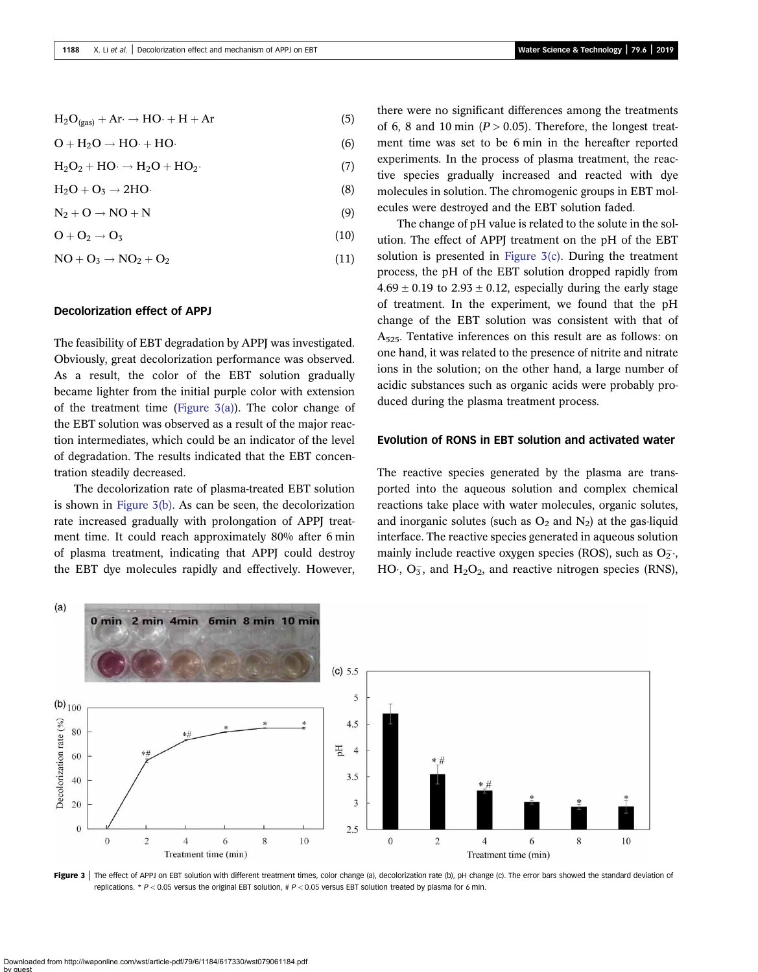## $H_2O_{(0.00)} + Ar \rightarrow HO \cdot + H + Ar$  (5)

$$
O + H_2O \rightarrow HO \cdot + HO \cdot \tag{6}
$$

$$
H_2O_2 + HO \cdot \rightarrow H_2O + HO_2. \tag{7}
$$

$$
H_2O + O_3 \rightarrow 2HO \tag{8}
$$

$$
N_2 + O \to NO + N \tag{9}
$$

$$
O + O_2 \rightarrow O_3 \tag{10}
$$

$$
NO + O_3 \rightarrow NO_2 + O_2 \tag{11}
$$

#### Decolorization effect of APPJ

The feasibility of EBT degradation by APPJ was investigated. Obviously, great decolorization performance was observed. As a result, the color of the EBT solution gradually became lighter from the initial purple color with extension of the treatment time (Figure  $\mathfrak{I}(a)$ ). The color change of the EBT solution was observed as a result of the major reaction intermediates, which could be an indicator of the level of degradation. The results indicated that the EBT concentration steadily decreased.

The decolorization rate of plasma-treated EBT solution is shown in Figure 3(b). As can be seen, the decolorization rate increased gradually with prolongation of APPJ treatment time. It could reach approximately 80% after 6 min of plasma treatment, indicating that APPJ could destroy the EBT dye molecules rapidly and effectively. However, there were no significant differences among the treatments of 6, 8 and 10 min ( $P > 0.05$ ). Therefore, the longest treatment time was set to be 6 min in the hereafter reported experiments. In the process of plasma treatment, the reactive species gradually increased and reacted with dye molecules in solution. The chromogenic groups in EBT molecules were destroyed and the EBT solution faded.

The change of pH value is related to the solute in the solution. The effect of APPJ treatment on the pH of the EBT solution is presented in Figure 3(c). During the treatment process, the pH of the EBT solution dropped rapidly from  $4.69 \pm 0.19$  to  $2.93 \pm 0.12$ , especially during the early stage of treatment. In the experiment, we found that the pH change of the EBT solution was consistent with that of A525. Tentative inferences on this result are as follows: on one hand, it was related to the presence of nitrite and nitrate ions in the solution; on the other hand, a large number of acidic substances such as organic acids were probably produced during the plasma treatment process.

#### Evolution of RONS in EBT solution and activated water

The reactive species generated by the plasma are transported into the aqueous solution and complex chemical reactions take place with water molecules, organic solutes, and inorganic solutes (such as  $O_2$  and  $N_2$ ) at the gas-liquid interface. The reactive species generated in aqueous solution mainly include reactive oxygen species (ROS), such as  $O_2^-$ .  $HO^{\prime}$ ,  $O_5^{\prime}$ , and  $H_2O_2$ , and reactive nitrogen species (RNS),



Figure 3 | The effect of APPJ on EBT solution with different treatment times, color change (a), decolorization rate (b), pH change (c). The error bars showed the standard deviation of replications. \*  $P < 0.05$  versus the original EBT solution, #  $P < 0.05$  versus EBT solution treated by plasma for 6 min.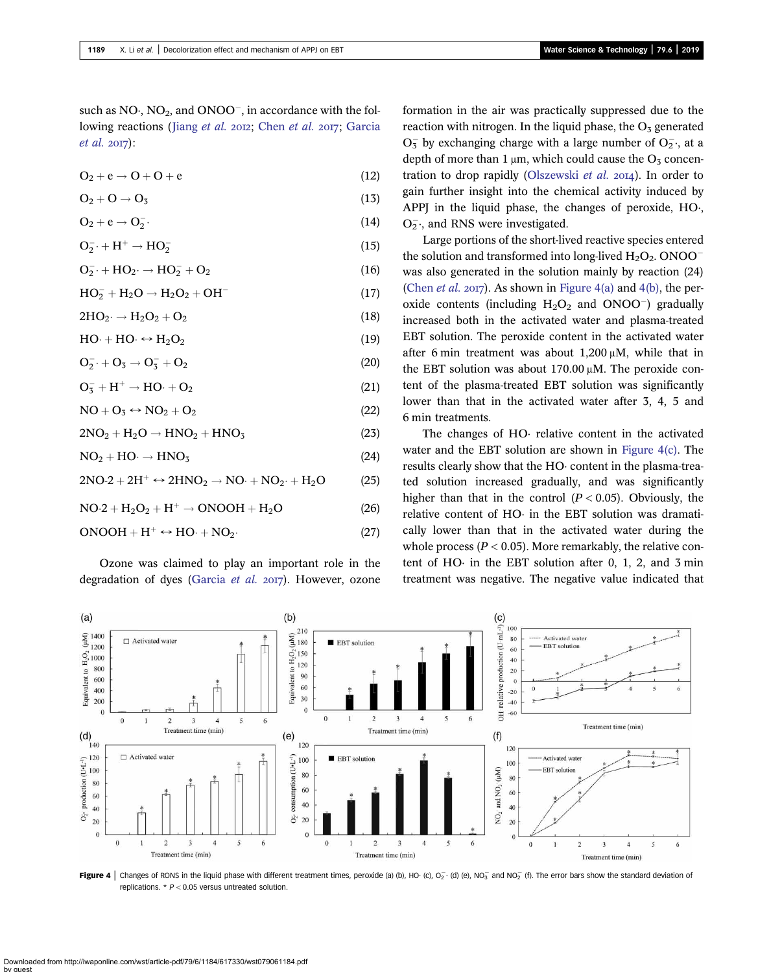<span id="page-5-0"></span>such as  $NO<sub>1</sub>, NO<sub>2</sub>, and ONOO<sub>-</sub>, in accordance with the fol$ lowing reactions (Jiang [et al.](#page-9-0) 2012; [Chen](#page-9-0) et al. 2017; [Garcia](#page-9-0)  $et$  al.  $2017$ :

$$
O_2 + e \rightarrow O + O + e \tag{12}
$$

$$
O_2 + O \to O_3 \tag{13}
$$

$$
O_2 + e \rightarrow O_2^{-}.
$$
 (14)

$$
\mathbf{O}_2^- \cdot + \mathbf{H}^+ \to \mathbf{HO}_2^- \tag{15}
$$

$$
\mathbf{O}_2^- + \mathbf{HO}_2 \rightarrow \mathbf{HO}_2^- + \mathbf{O}_2 \tag{16}
$$

$$
HO_2^- + H_2O \rightarrow H_2O_2 + OH^-
$$
 (17)

$$
2\mathrm{HO}_2 \cdot \rightarrow \mathrm{H}_2\mathrm{O}_2 + \mathrm{O}_2 \tag{18}
$$

$$
HO \cdot + HO \cdot \leftrightarrow H_2O_2 \tag{19}
$$

$$
\mathbf{O}_2^- \cdot + \mathbf{O}_3 \rightarrow \mathbf{O}_3^- + \mathbf{O}_2 \tag{20}
$$

$$
O_3^- + H^+ \rightarrow HO \cdot + O_2 \tag{21}
$$

 $NO + O_3 \leftrightarrow NO_2 + O_2$  (22)

$$
2NO2 + H2O \rightarrow HNO2 + HNO3
$$
 (23)

$$
NO2 + HO· \rightarrow HNO3
$$
 (24)

$$
2NO-2 + 2H^{+} \leftrightarrow 2HNO_2 \rightarrow NO \cdot + NO_2 \cdot + H_2O \tag{25}
$$

$$
NO-2 + H2O2 + H+ \rightarrow ONOOH + H2O
$$
 (26)

$$
ONOOH + H^{+} \leftrightarrow HO \cdot + NO_{2}.
$$
 (27)

Ozone was claimed to play an important role in the degradation of dyes [\(Garcia](#page-9-0) et al.  $2017$ ). However, ozone formation in the air was practically suppressed due to the reaction with nitrogen. In the liquid phase, the  $O<sub>5</sub>$  generated  $O_3^-$  by exchanging charge with a large number of  $O_2^-,$  at a depth of more than 1  $\mu$ m, which could cause the O<sub>3</sub> concen-tration to drop rapidly [\(Olszewski](#page-9-0) et al.  $20I4$ ). In order to gain further insight into the chemical activity induced by APPJ in the liquid phase, the changes of peroxide, HO·,  $O_2^{\sim}$ , and RNS were investigated.

Large portions of the short-lived reactive species entered the solution and transformed into long-lived  $H_2O_2$ . ONOO<sup>-</sup> was also generated in the solution mainly by reaction (24) [\(Chen](#page-9-0) *et al.* 2017). As shown in Figure 4(a) and 4(b), the peroxide contents (including  $H_2O_2$  and ONOO<sup>-</sup>) gradually increased both in the activated water and plasma-treated EBT solution. The peroxide content in the activated water after 6 min treatment was about 1,200 μM, while that in the EBT solution was about 170.00 μM. The peroxide content of the plasma-treated EBT solution was significantly lower than that in the activated water after 3, 4, 5 and 6 min treatments.

The changes of HO· relative content in the activated water and the EBT solution are shown in Figure 4(c). The results clearly show that the HO· content in the plasma-treated solution increased gradually, and was significantly higher than that in the control  $(P < 0.05)$ . Obviously, the relative content of HO· in the EBT solution was dramatically lower than that in the activated water during the whole process ( $P < 0.05$ ). More remarkably, the relative content of HO· in the EBT solution after 0, 1, 2, and 3 min treatment was negative. The negative value indicated that



Figure 4 | Changes of RONS in the liquid phase with different treatment times, peroxide (a) (b), HO· (c), O<sub>2</sub>· (d) (e), NO<sub>3</sub> and NO<sub>2</sub> (f). The error bars show the standard deviation of replications.  $* P < 0.05$  versus untreated solution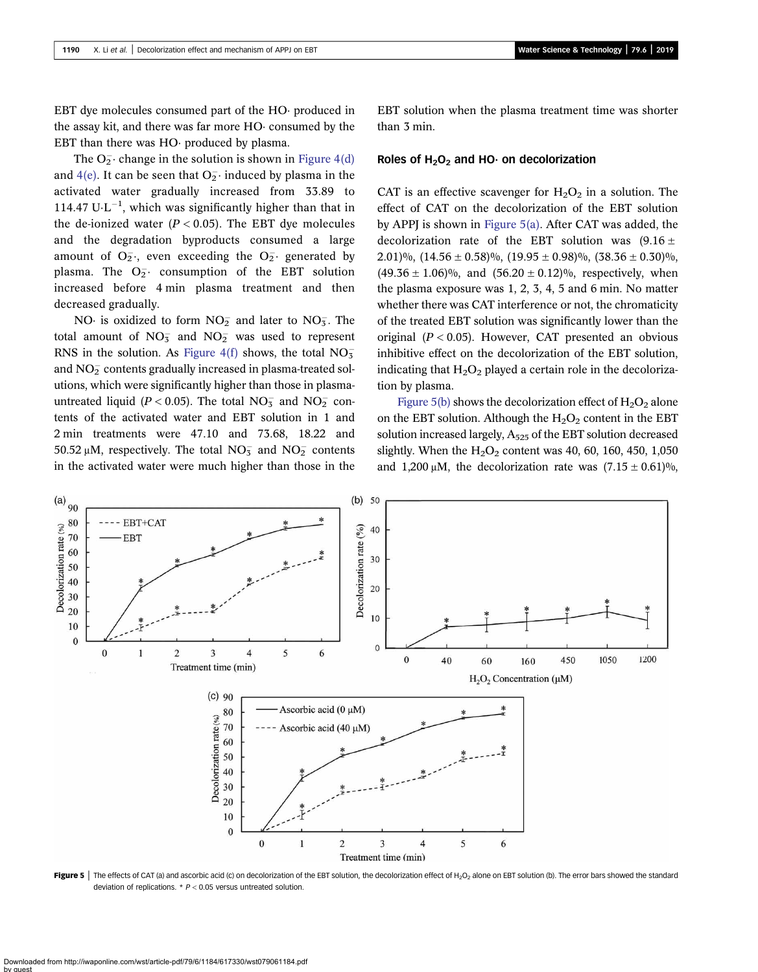<span id="page-6-0"></span>EBT dye molecules consumed part of the HO· produced in the assay kit, and there was far more HO· consumed by the EBT than there was HO· produced by plasma.

The  $O_2^-$  change in the solution is shown in [Figure 4\(d\)](#page-5-0) and [4\(e\).](#page-5-0) It can be seen that  $O_2^-$  induced by plasma in the activated water gradually increased from 33.89 to 114.47  $U \cdot L^{-1}$ , which was significantly higher than that in the de-ionized water  $(P < 0.05)$ . The EBT dye molecules and the degradation byproducts consumed a large amount of  $O_2^-$ , even exceeding the  $O_2^-$  generated by plasma. The  $O_2^-$  consumption of the EBT solution increased before 4 min plasma treatment and then decreased gradually.

NO $\cdot$  is oxidized to form  $NO<sub>2</sub><sup>-</sup>$  and later to  $NO<sub>3</sub><sup>-</sup>$ . The total amount of  $NO_3^-$  and  $NO_2^-$  was used to represent RNS in the solution. As Figure  $4(f)$  shows, the total  $NO<sub>3</sub>$ and  $\rm NO_2^-$  contents gradually increased in plasma-treated solutions, which were significantly higher than those in plasmauntreated liquid ( $P < 0.05$ ). The total NO<sub>3</sub> and NO<sub>2</sub> contents of the activated water and EBT solution in 1 and 2 min treatments were 47.10 and 73.68, 18.22 and 50.52 μM, respectively. The total  $NO<sub>3</sub>^-$  and  $NO<sub>2</sub>^-$  contents in the activated water were much higher than those in the EBT solution when the plasma treatment time was shorter than 3 min.

#### Roles of  $H_2O_2$  and HO· on decolorization

CAT is an effective scavenger for  $H_2O_2$  in a solution. The effect of CAT on the decolorization of the EBT solution by APPJ is shown in Figure 5(a). After CAT was added, the decolorization rate of the EBT solution was  $(9.16 \pm$ 2.01)%,  $(14.56 \pm 0.58)$ %,  $(19.95 \pm 0.98)$ %,  $(38.36 \pm 0.30)$ %,  $(49.36 \pm 1.06)\%$ , and  $(56.20 \pm 0.12)\%$ , respectively, when the plasma exposure was 1, 2, 3, 4, 5 and 6 min. No matter whether there was CAT interference or not, the chromaticity of the treated EBT solution was significantly lower than the original  $(P < 0.05)$ . However, CAT presented an obvious inhibitive effect on the decolorization of the EBT solution, indicating that  $H_2O_2$  played a certain role in the decolorization by plasma.

Figure 5(b) shows the decolorization effect of  $H_2O_2$  alone on the EBT solution. Although the  $H_2O_2$  content in the EBT solution increased largely,  $A_{525}$  of the EBT solution decreased slightly. When the  $H_2O_2$  content was 40, 60, 160, 450, 1,050 and 1,200 μM, the decolorization rate was  $(7.15 \pm 0.61)$ %,



Figure 5 | The effects of CAT (a) and ascorbic acid (c) on decolorization of the EBT solution, the decolorization effect of H<sub>2</sub>O<sub>2</sub> alone on EBT solution (b). The error bars showed the standard deviation of replications.  $* P < 0.05$  versus untreated solution.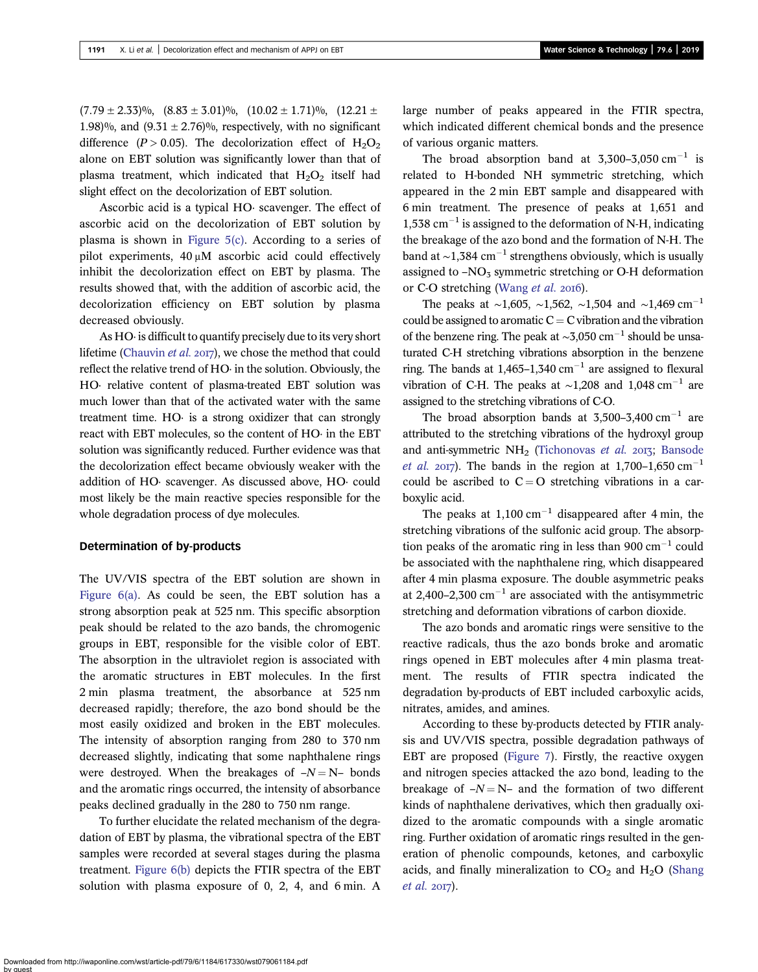$(7.79 \pm 2.33)\%$ ,  $(8.83 \pm 3.01)\%$ ,  $(10.02 \pm 1.71)\%$ ,  $(12.21 \pm 1.71)\%$ 1.98)%, and  $(9.31 \pm 2.76)$ %, respectively, with no significant difference ( $P > 0.05$ ). The decolorization effect of  $H_2O_2$ alone on EBT solution was significantly lower than that of plasma treatment, which indicated that  $H_2O_2$  itself had slight effect on the decolorization of EBT solution.

Ascorbic acid is a typical HO· scavenger. The effect of ascorbic acid on the decolorization of EBT solution by plasma is shown in Figure  $5(c)$ . According to a series of pilot experiments, 40 μM ascorbic acid could effectively inhibit the decolorization effect on EBT by plasma. The results showed that, with the addition of ascorbic acid, the decolorization efficiency on EBT solution by plasma decreased obviously.

As HO· is difficult to quantify precisely due to its very short lifetime [\(Chauvin](#page-9-0) et al. 2017), we chose the method that could reflect the relative trend of HO· in the solution. Obviously, the HO· relative content of plasma-treated EBT solution was much lower than that of the activated water with the same treatment time. HO· is a strong oxidizer that can strongly react with EBT molecules, so the content of HO· in the EBT solution was significantly reduced. Further evidence was that the decolorization effect became obviously weaker with the addition of HO· scavenger. As discussed above, HO· could most likely be the main reactive species responsible for the whole degradation process of dye molecules.

#### Determination of by-products

The UV/VIS spectra of the EBT solution are shown in Figure  $6(a)$ . As could be seen, the EBT solution has a strong absorption peak at 525 nm. This specific absorption peak should be related to the azo bands, the chromogenic groups in EBT, responsible for the visible color of EBT. The absorption in the ultraviolet region is associated with the aromatic structures in EBT molecules. In the first 2 min plasma treatment, the absorbance at 525 nm decreased rapidly; therefore, the azo bond should be the most easily oxidized and broken in the EBT molecules. The intensity of absorption ranging from 280 to 370 nm decreased slightly, indicating that some naphthalene rings were destroyed. When the breakages of  $-N = N-$  bonds and the aromatic rings occurred, the intensity of absorbance peaks declined gradually in the 280 to 750 nm range.

To further elucidate the related mechanism of the degradation of EBT by plasma, the vibrational spectra of the EBT samples were recorded at several stages during the plasma treatment. [Figure 6\(b\)](#page-8-0) depicts the FTIR spectra of the EBT solution with plasma exposure of 0, 2, 4, and 6 min. A large number of peaks appeared in the FTIR spectra, which indicated different chemical bonds and the presence of various organic matters.

The broad absorption band at  $3,300-3,050$  cm<sup>-1</sup> is related to H-bonded NH symmetric stretching, which appeared in the 2 min EBT sample and disappeared with 6 min treatment. The presence of peaks at 1,651 and  $1,538$  cm<sup>-1</sup> is assigned to the deformation of N-H, indicating the breakage of the azo bond and the formation of N-H. The band at  $\sim$ 1,384 cm<sup>-1</sup> strengthens obviously, which is usually assigned to  $-NO<sub>3</sub>$  symmetric stretching or O-H deformation or C-O stretching ([Wang](#page-10-0) et al. 2016).

The peaks at ~1,605, ~1,562, ~1,504 and ~1,469 cm<sup>-1</sup> could be assigned to aromatic  $C = C$  vibration and the vibration of the benzene ring. The peak at  $\sim$ 3,050 cm<sup>-1</sup> should be unsaturated C-H stretching vibrations absorption in the benzene ring. The bands at  $1.465-1.340$  cm<sup>-1</sup> are assigned to flexural vibration of C-H. The peaks at ~1,208 and 1,048 cm<sup>-1</sup> are assigned to the stretching vibrations of C-O.

The broad absorption bands at  $3,500-3,400$  cm<sup>-1</sup> are attributed to the stretching vibrations of the hydroxyl group and anti-symmetric  $NH<sub>2</sub>$  ([Tichonovas](#page-10-0) et al. 2013; [Bansode](#page-9-0) *[et al.](#page-9-0)* 2017). The bands in the region at 1,700–1,650 cm<sup>-1</sup> could be ascribed to  $C = O$  stretching vibrations in a carboxylic acid.

The peaks at  $1,100 \text{ cm}^{-1}$  disappeared after 4 min, the stretching vibrations of the sulfonic acid group. The absorption peaks of the aromatic ring in less than 900  $cm^{-1}$  could be associated with the naphthalene ring, which disappeared after 4 min plasma exposure. The double asymmetric peaks at 2,400–2,300 cm<sup>-1</sup> are associated with the antisymmetric stretching and deformation vibrations of carbon dioxide.

The azo bonds and aromatic rings were sensitive to the reactive radicals, thus the azo bonds broke and aromatic rings opened in EBT molecules after 4 min plasma treatment. The results of FTIR spectra indicated the degradation by-products of EBT included carboxylic acids, nitrates, amides, and amines.

According to these by-products detected by FTIR analysis and UV/VIS spectra, possible degradation pathways of EBT are proposed [\(Figure 7\)](#page-9-0). Firstly, the reactive oxygen and nitrogen species attacked the azo bond, leading to the breakage of  $-N = N$ – and the formation of two different kinds of naphthalene derivatives, which then gradually oxidized to the aromatic compounds with a single aromatic ring. Further oxidation of aromatic rings resulted in the generation of phenolic compounds, ketones, and carboxylic acids, and finally mineralization to  $CO<sub>2</sub>$  and  $H<sub>2</sub>O$  ([Shang](#page-10-0)  $et$  al.  $2017$ ).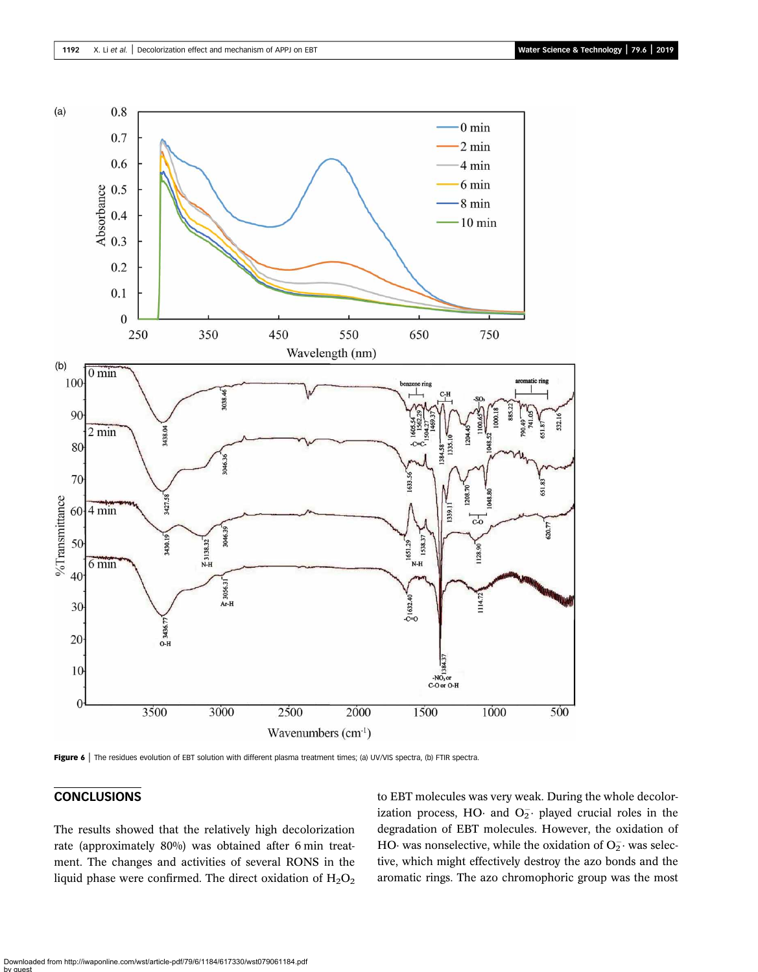<span id="page-8-0"></span>

Figure 6 | The residues evolution of EBT solution with different plasma treatment times; (a) UV/VIS spectra, (b) FTIR spectra.

## **CONCLUSIONS**

The results showed that the relatively high decolorization rate (approximately 80%) was obtained after 6 min treatment. The changes and activities of several RONS in the liquid phase were confirmed. The direct oxidation of  $H_2O_2$  to EBT molecules was very weak. During the whole decolorization process, HO and  $O_2^-$  played crucial roles in the degradation of EBT molecules. However, the oxidation of HO was nonselective, while the oxidation of  $O_2^-$  was selective, which might effectively destroy the azo bonds and the aromatic rings. The azo chromophoric group was the most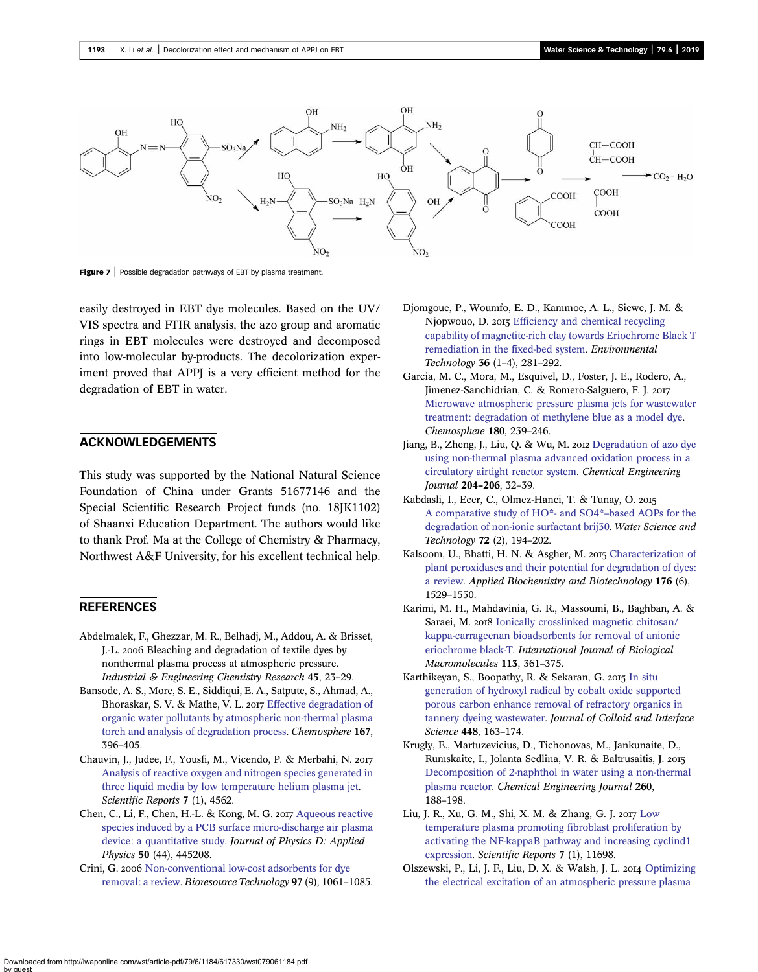<span id="page-9-0"></span>

Figure 7 | Possible degradation pathways of EBT by plasma treatment.

easily destroyed in EBT dye molecules. Based on the UV/ VIS spectra and FTIR analysis, the azo group and aromatic rings in EBT molecules were destroyed and decomposed into low-molecular by-products. The decolorization experiment proved that APPJ is a very efficient method for the degradation of EBT in water.

## ACKNOWLEDGEMENTS

This study was supported by the National Natural Science Foundation of China under Grants 51677146 and the Special Scientific Research Project funds (no. 18JK1102) of Shaanxi Education Department. The authors would like to thank Prof. Ma at the College of Chemistry & Pharmacy, Northwest A&F University, for his excellent technical help.

## **REFERENCES**

- Abdelmalek, F., Ghezzar, M. R., Belhadj, M., Addou, A. & Brisset, J.-L. 2006 Bleaching and degradation of textile dyes by nonthermal plasma process at atmospheric pressure. Industrial & Engineering Chemistry Research 45, 23–29.
- Bansode, A. S., More, S. E., Siddiqui, E. A., Satpute, S., Ahmad, A., Bhoraskar, S. V. & Mathe, V. L. 2017 [Effective degradation of](http://dx.doi.org/10.1016/j.chemosphere.2016.09.089) [organic water pollutants by atmospheric non-thermal plasma](http://dx.doi.org/10.1016/j.chemosphere.2016.09.089) [torch and analysis of degradation process](http://dx.doi.org/10.1016/j.chemosphere.2016.09.089). Chemosphere 167, 396–405.
- Chauvin, J., Judee, F., Yousfi, M., Vicendo, P. & Merbahi, N. [Analysis of reactive oxygen and nitrogen species generated in](http://dx.doi.org/10.1038/s41598-017-04650-4) [three liquid media by low temperature helium plasma jet](http://dx.doi.org/10.1038/s41598-017-04650-4). Scientific Reports 7 (1), 4562.
- Chen, C., Li, F., Chen, H.-L. & Kong, M. G. 2017 [Aqueous reactive](http://dx.doi.org/10.1088/1361-6463/aa8be9) [species induced by a PCB surface micro-discharge air plasma](http://dx.doi.org/10.1088/1361-6463/aa8be9) [device: a quantitative study.](http://dx.doi.org/10.1088/1361-6463/aa8be9) Journal of Physics D: Applied Physics 50 (44), 445208.
- Crini, G. 2006 [Non-conventional low-cost adsorbents for dye](http://dx.doi.org/10.1016/j.biortech.2005.05.001) [removal: a review.](http://dx.doi.org/10.1016/j.biortech.2005.05.001) Bioresource Technology 97 (9), 1061–1085.
- Djomgoue, P., Woumfo, E. D., Kammoe, A. L., Siewe, J. M. & Njopwouo, D. 2015 [Efficiency and chemical recycling](http://dx.doi.org/10.1080/09593330.2014.944938) [capability of magnetite-rich clay towards Eriochrome Black T](http://dx.doi.org/10.1080/09593330.2014.944938) [remediation in the fixed-bed system.](http://dx.doi.org/10.1080/09593330.2014.944938) Environmental Technology 36 (1–4), 281–292.
- Garcia, M. C., Mora, M., Esquivel, D., Foster, J. E., Rodero, A., Jimenez-Sanchidrian, C. & Romero-Salguero, F. J. [Microwave atmospheric pressure plasma jets for wastewater](http://dx.doi.org/10.1016/j.chemosphere.2017.03.126) [treatment: degradation of methylene blue as a model dye](http://dx.doi.org/10.1016/j.chemosphere.2017.03.126). Chemosphere 180, 239–246.
- Jiang, B., Zheng, J., Liu, Q. & Wu, M. 2012 [Degradation of azo dye](http://dx.doi.org/10.1016/j.cej.2012.07.088) [using non-thermal plasma advanced oxidation process in a](http://dx.doi.org/10.1016/j.cej.2012.07.088) [circulatory airtight reactor system.](http://dx.doi.org/10.1016/j.cej.2012.07.088) Chemical Engineering Journal 204–206, 32–39.
- Kabdasli, I., Ecer, C., Olmez-Hanci, T. & Tunay, O. [A comparative study of HO\\*- and SO4\\*](http://dx.doi.org/10.2166/wst.2015.204)–based AOPs for the [degradation of non-ionic surfactant brij30](http://dx.doi.org/10.2166/wst.2015.204). Water Science and Technology 72 (2), 194–202.
- Kalsoom, U., Bhatti, H. N. & Asgher, M. 2015 [Characterization of](http://dx.doi.org/10.1007/s12010-015-1674-3) [plant peroxidases and their potential for degradation of dyes:](http://dx.doi.org/10.1007/s12010-015-1674-3) [a review.](http://dx.doi.org/10.1007/s12010-015-1674-3) Applied Biochemistry and Biotechnology 176 (6), 1529–1550.
- Karimi, M. H., Mahdavinia, G. R., Massoumi, B., Baghban, A. & Saraei, M. 2018 [Ionically crosslinked magnetic chitosan/](http://dx.doi.org/10.1016/j.ijbiomac.2018.02.102) [kappa-carrageenan bioadsorbents for removal of anionic](http://dx.doi.org/10.1016/j.ijbiomac.2018.02.102) [eriochrome black-T](http://dx.doi.org/10.1016/j.ijbiomac.2018.02.102). International Journal of Biological Macromolecules 113, 361–375.
- Karthikeyan, S., Boopathy, R. & Sekaran, G. 2015 [In situ](http://dx.doi.org/10.1016/j.jcis.2015.01.066) [generation of hydroxyl radical by cobalt oxide supported](http://dx.doi.org/10.1016/j.jcis.2015.01.066) [porous carbon enhance removal of refractory organics in](http://dx.doi.org/10.1016/j.jcis.2015.01.066) [tannery dyeing wastewater](http://dx.doi.org/10.1016/j.jcis.2015.01.066). Journal of Colloid and Interface Science 448, 163–174.
- Krugly, E., Martuzevicius, D., Tichonovas, M., Jankunaite, D., Rumskaite, I., Jolanta Sedlina, V. R. & Baltrusaitis, J. [Decomposition of 2-naphthol in water using a non-thermal](http://dx.doi.org/10.1016/j.cej.2014.08.098) [plasma reactor.](http://dx.doi.org/10.1016/j.cej.2014.08.098) Chemical Engineering Journal 260, 188–198.
- Liu, J. R., Xu, G. M., Shi, X. M. & Zhang, G. J. 2017 [Low](http://dx.doi.org/10.1038/s41598-017-12043-w) [temperature plasma promoting fibroblast proliferation by](http://dx.doi.org/10.1038/s41598-017-12043-w) [activating the NF-kappaB pathway and increasing cyclind1](http://dx.doi.org/10.1038/s41598-017-12043-w) [expression.](http://dx.doi.org/10.1038/s41598-017-12043-w) Scientific Reports 7 (1), 11698.
- Olszewski, P., Li, J. F., Liu, D. X. & Walsh, J. L. 2014 [Optimizing](http://dx.doi.org/10.1016/j.jhazmat.2014.06.059) [the electrical excitation of an atmospheric pressure plasma](http://dx.doi.org/10.1016/j.jhazmat.2014.06.059)